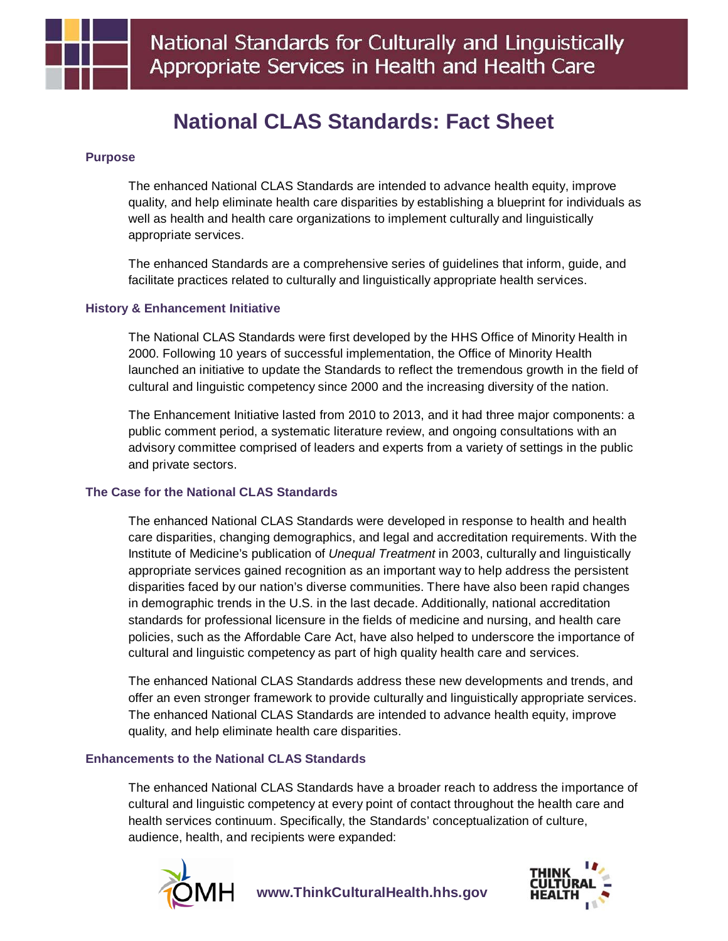

# **National CLAS Standards: Fact Sheet**

## **Purpose**

The enhanced National CLAS Standards are intended to advance health equity, improve quality, and help eliminate health care disparities by establishing a blueprint for individuals as well as health and health care organizations to implement culturally and linguistically appropriate services.

The enhanced Standards are a comprehensive series of guidelines that inform, guide, and facilitate practices related to culturally and linguistically appropriate health services.

### **History & Enhancement Initiative**

The National CLAS Standards were first developed by the HHS Office of Minority Health in 2000. Following 10 years of successful implementation, the Office of Minority Health launched an initiative to update the Standards to reflect the tremendous growth in the field of cultural and linguistic competency since 2000 and the increasing diversity of the nation.

The Enhancement Initiative lasted from 2010 to 2013, and it had three major components: a public comment period, a systematic literature review, and ongoing consultations with an advisory committee comprised of leaders and experts from a variety of settings in the public and private sectors.

### **The Case for the National CLAS Standards**

The enhanced National CLAS Standards were developed in response to health and health care disparities, changing demographics, and legal and accreditation requirements. With the Institute of Medicine's publication of *Unequal Treatment* in 2003, culturally and linguistically appropriate services gained recognition as an important way to help address the persistent disparities faced by our nation's diverse communities. There have also been rapid changes in demographic trends in the U.S. in the last decade. Additionally, national accreditation standards for professional licensure in the fields of medicine and nursing, and health care policies, such as the Affordable Care Act, have also helped to underscore the importance of cultural and linguistic competency as part of high quality health care and services.

The enhanced National CLAS Standards address these new developments and trends, and offer an even stronger framework to provide culturally and linguistically appropriate services. The enhanced National CLAS Standards are intended to advance health equity, improve quality, and help eliminate health care disparities.

### **Enhancements to the National CLAS Standards**

The enhanced National CLAS Standards have a broader reach to address the importance of cultural and linguistic competency at every point of contact throughout the health care and health services continuum. Specifically, the Standards' conceptualization of culture, audience, health, and recipients were expanded: